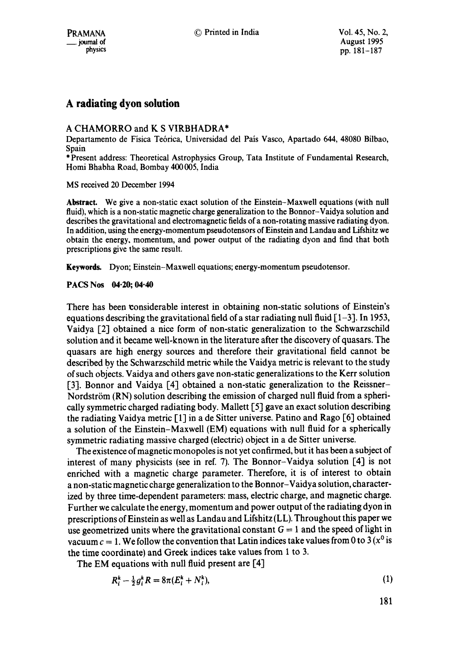# **A radiating dyon solution**

## A CHAMORRO and K S VIRBHADRA\*

Departamento de Fisica Te6rica, Universidad del Pais Vasco, Apartado 644, 48080 Bilbao, Spain

\* Present address: Theoretical Astrophysics Group, Tata Institute of Fundamental Research, Homi Bhabha Road, Bombay 400 005, India

MS received 20 December 1994

**Abstract.** We give a non-static exact solution of the Einstein-Maxwell equations (with null fluid), which is a non-static magnetic charge generalization to the Bonnor-Vaidya solution and describes the gravitational and electromagnetic fields of a non-rotating massive radiating dyon. In addition, using the energy-momentum pseudotensors of Einstein and Landau and Lifshitz we obtain the energy, momentum, and power output of the radiating dyon and find that both prescriptions give the same result.

Keywords. Dyon; Einstein-Maxwell equations; energy-momentum pseudotensor.

## **PACS Nos 04"20; 04.40**

There has been considerable interest in obtaining non-static solutions of Einstein's equations describing the gravitational field of a star radiating null fluid  $\lceil 1-3 \rceil$ . In 1953, Vaidya [2] obtained a nice form of non-static generalization to the Schwarzschild solution and it became well-known in the literature after the discovery of quasars. The quasars are high energy sources and therefore their gravitational field cannot be described by the Schwarzschild metric while the Vaidya metric is relevant to the study of such objects. Vaidya and others gave non-static generalizations to the Kerr solution [3]. Bonnor and Vaidya [4] obtained a non-static generalization to the Reissner-Nordström  $(RN)$  solution describing the emission of charged null fluid from a spherically symmetric charged radiating body. Mallett [5] gave an exact solution describing the radiating Vaidya metric [1] in a de Sitter universe. Patino and Rago [6] obtained a solution of the Einstein-Maxwell (EM) equations with null fluid for a spherically symmetric radiating massive charged (electric) object in a de Sitter universe.

The existence of magnetic monopoles is not yet confirmed, but it has been a subject of interest of many physicists (see in ref. 7). The Bonnor-Vaidya solution [4] is not enriched with a magnetic charge parameter. Therefore, it is of interest to obtain a non-static magnetic charge generalization to the Bonnor-Vaidya solution, characterized by three time-dependent parameters: mass, electric charge, and magnetic charge. Further we calculate the energy, momentum and power output of the radiating dyon in prescriptions of Einstein as well as Landau and Lifshitz (LL). Throughout this paper we use geometrized units where the gravitational constant  $G = 1$  and the speed of light in vacuum  $c = 1$ . We follow the convention that Latin indices take values from 0 to 3 ( $x^0$  is the time coordinate) and Greek indices take values from 1 to 3.

The EM equations with null fluid present are [4]

$$
R_i^k - \frac{1}{2} g_i^k R = 8\pi (E_i^k + N_i^k), \tag{1}
$$

$$
181
$$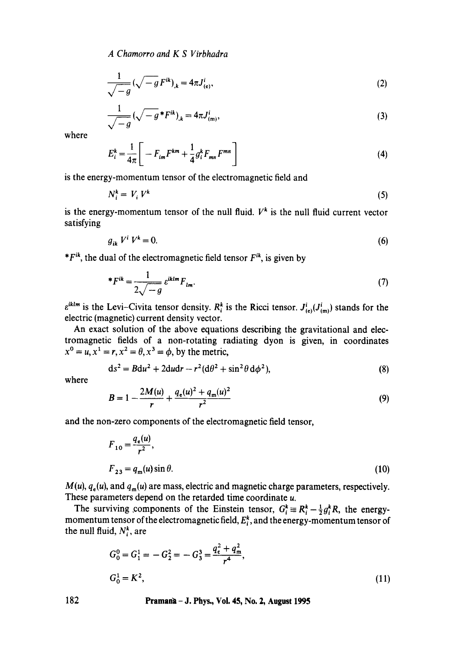*A Chamorro and K S Virbhadra* 

$$
\frac{1}{\sqrt{-g}} \left( \sqrt{-g} \, F^{ik} \right)_k = 4\pi J^i_{(e)},\tag{2}
$$

$$
\frac{1}{\sqrt{-g}} \left( \sqrt{-g} * F^{ik} \right)_k = 4\pi J^i_{(m)},\tag{3}
$$

where

$$
E_i^k = \frac{1}{4\pi} \left[ -F_{im}F^{km} + \frac{1}{4}g_i^k F_{mn}F^{mn} \right]
$$
 (4)

is the energy-momentum tensor of the electromagnetic field and

$$
N_i^k = V_i V^k \tag{5}
$$

is the energy-momentum tensor of the null fluid.  $V^k$  is the null fluid current vector satisfying

$$
g_{ik}V^i V^k = 0. \tag{6}
$$

 $*F^{ik}$ , the dual of the electromagnetic field tensor  $F^{ik}$ , is given by

$$
{}^*F^{ik} = \frac{1}{2\sqrt{-g}} e^{iklm} F_{lm}.
$$
 (7)

 $\varepsilon^{iklm}$  is the Levi-Civita tensor density.  $R_i^k$  is the Ricci tensor.  $J_{(e)}^i(J_{(m)}^i)$  stands for the electric (magnetic) current density vector.

An exact solution of the above equations describing the gravitational and electromagnetic fields of a non-rotating radiating dyon is given, in coordinates  $x^0 = u, x^1 = r, x^2 = \theta, x^3 = \phi$ , by the metric,

$$
ds2 = Bdu2 + 2dudr - r2(d\theta2 + sin2\theta d\phi2),
$$
 (8)

where

$$
B = 1 - \frac{2M(u)}{r} + \frac{q_e(u)^2 + q_m(u)^2}{r^2}
$$
\n(9)

and the non-zero components of the electromagnetic field tensor,

$$
F_{10} = \frac{q_e(u)}{r^2},
$$
  
\n
$$
F_{23} = q_m(u)\sin\theta.
$$
 (10)

 $M(u)$ ,  $q_e(u)$ , and  $q_m(u)$  are mass, electric and magnetic charge parameters, respectively. These parameters depend on the retarded time coordinate u.

The surviving components of the Einstein tensor,  $G_i^k = R_i^k - \frac{1}{2} g_i^k R$ , the energymomentum tensor of the electromagnetic field,  $E_t^k$ , and the energy-momentum tensor of the null fluid,  $N_i^k$ , are

$$
G_0^0 = G_1^1 = -G_2^2 = -G_3^3 = \frac{q_e^2 + q_m^2}{r^4},
$$
  
\n
$$
G_0^1 = K^2,
$$
\n(11)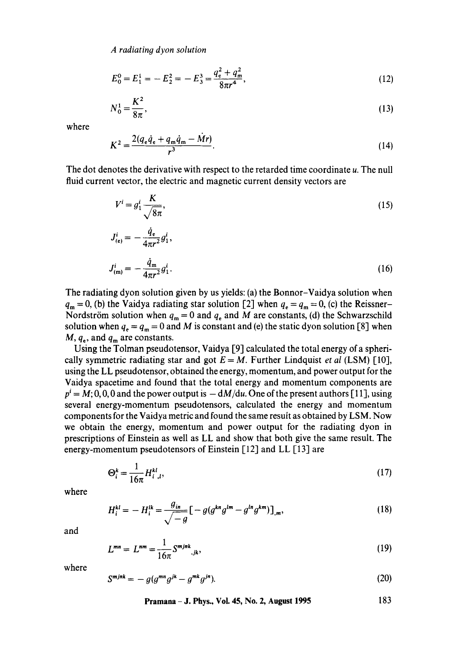*A radiating dyon solution* 

$$
E_0^0 = E_1^1 = -E_2^2 = -E_3^3 = \frac{q_e^2 + q_m^2}{8\pi r^4},
$$
\n(12)

$$
N_0^1 = \frac{K^2}{8\pi},\tag{13}
$$

where

$$
K^{2} = \frac{2(q_{e}\dot{q}_{e} + q_{m}\dot{q}_{m} - \dot{M}r)}{r^{3}}.
$$
 (14)

The dot denotes the derivative with respect to the retarded time coordinate u. The null fluid current vector, the electric and magnetic current density vectors are

$$
V^i = g_1^i \frac{K}{\sqrt{8\pi}},\tag{15}
$$

$$
J_{(e)}^i = -\frac{\dot{q}_e}{4\pi r^2} g_1^i,
$$
  

$$
J_{(m)}^i = -\frac{\dot{q}_m}{4\pi r^2} g_1^i.
$$
 (16)

The radiating dyon solution given by us yields: (a) the Bonnor-Vaidya solution when  $q_m = 0$ , (b) the Vaidya radiating star solution [2] when  $q_e = q_m = 0$ , (c) the Reissner-Nordström solution when  $q_m = 0$  and  $q_e$  and M are constants, (d) the Schwarzschild solution when  $q_e = q_m = 0$  and M is constant and (e) the static dyon solution [8] when  $M, q_e$ , and  $q_m$  are constants.

Using the Tolman pseudotensor, Vaidya [9] calculated the total energy of a spherically symmetric radiating star and got  $E = M$ . Further Lindquist *et al* (LSM) [10], using the LL pseudotensor, obtained the energy, momentum, and power output for the Vaidya spacetime and found that the total energy and momentum components are  $p<sup>i</sup> = M$ ; 0, 0, 0 and the power output is  $-\frac{dM}{du}$ . One of the present authors [11], using several energy-momentum pseudotensors, calculated the energy and momentum components for the Vaidya metric and found the same result as obtained by LSM. Now we obtain the energy, momentum and power output for the radiating dyon in prescriptions of Einstein as well as LL and show that both give the same result. The energy-momentum pseudotensors of Einstein [12] and LL [13] are

$$
\Theta_i^k = \frac{1}{16\pi} H_{i\ldots l}^{kl},\tag{17}
$$

where

$$
H_i^{kl} = -H_i^{lk} = \frac{g_{in}}{\sqrt{-g}} \left[ -g(g^{kn}g^{lm} - g^{ln}g^{km}) \right]_{,m},\tag{18}
$$

and

$$
L^{mn} = L^{nm} = \frac{1}{16\pi} S^{mjnk},
$$
\n(19)

where

$$
S^{m j n k} = -g(g^{m n} g^{j k} - g^{m k} g^{j n}).
$$
\n(20)

**Pramana - J. Phys., Vol. 45, No. 2, August 1995 183**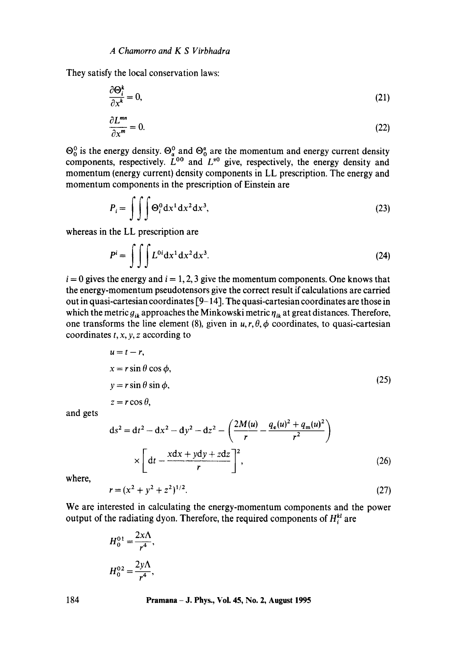They satisfy the local conservation laws:

$$
\frac{\partial \Theta_i^k}{\partial x^k} = 0,\tag{21}
$$

$$
\frac{\partial L^{mn}}{\partial x^m} = 0. \tag{22}
$$

 $\mathfrak{S}_0^0$  is the energy density.  $\mathfrak{S}_a^0$  and  $\mathfrak{S}_a^a$  are the momentum and energy current density components, respectively.  $L^{00}$  and  $L^{00}$  give, respectively, the energy density and momentum (energy current) density components in LL prescription. The energy and momentum components in the prescription of Einstein are

$$
P_i = \iiint \Theta_i^0 dx^1 dx^2 dx^3,
$$
 (23)

whereas in the LL prescription are

$$
P^i = \int \int \int L^{0i} \mathrm{d}x^1 \mathrm{d}x^2 \mathrm{d}x^3. \tag{24}
$$

 $i = 0$  gives the energy and  $i = 1, 2, 3$  give the momentum components. One knows that the energy-momentum pseudotensors give the correct result if calculations are carried out in quasi-cartesian coordinates [9-14]. The quasi-cartesian coordinates are those in which the metric  $g_{ik}$  approaches the Minkowski metric  $\eta_{ik}$  at great distances. Therefore, one transforms the line element (8), given in  $u, r, \theta, \phi$  coordinates, to quasi-cartesian coordinates  $t, x, y, z$  according to

$$
u = t - r,
$$
  
\n
$$
x = r \sin \theta \cos \phi,
$$
  
\n
$$
y = r \sin \theta \sin \phi,
$$
  
\n
$$
z = r \cos \theta,
$$
  
\n(25)

and gets

$$
ds^{2} = dt^{2} - dx^{2} - dy^{2} - dz^{2} - \left(\frac{2M(u)}{r} - \frac{q_{e}(u)^{2} + q_{m}(u)^{2}}{r^{2}}\right)
$$

$$
\times \left[dt - \frac{xdx + ydy + zdz}{r}\right]^{2},
$$
(26)

where,

$$
r = (x^2 + y^2 + z^2)^{1/2}.
$$
 (27)

We are interested in calculating the energy-momentum components and the power output of the radiating dyon. Therefore, the required components of  $H_i^{kl}$  are

$$
H_0^{01} = \frac{2x\Lambda}{r^4},
$$
  

$$
H_0^{02} = \frac{2y\Lambda}{r^4},
$$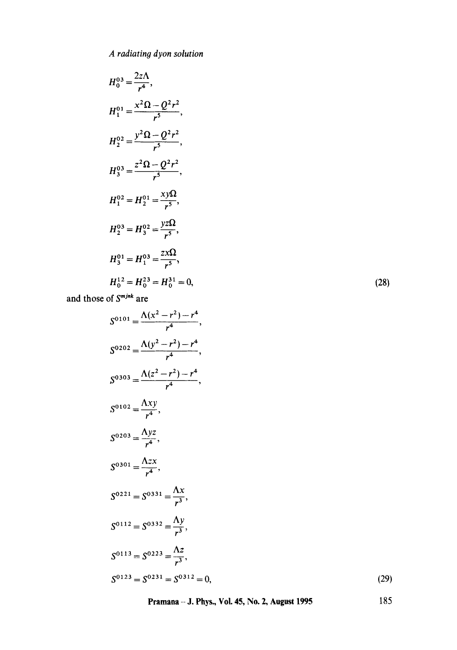*A radiatino dyon solution* 

$$
H_0^{03} = \frac{2z\Lambda}{r^4},
$$
  
\n
$$
H_1^{01} = \frac{x^2\Omega - Q^2r^2}{r^5},
$$
  
\n
$$
H_2^{02} = \frac{y^2\Omega - Q^2r^2}{r^5},
$$
  
\n
$$
H_3^{03} = \frac{z^2\Omega - Q^2r^2}{r^5},
$$
  
\n
$$
H_1^{02} = H_2^{01} = \frac{xy\Omega}{r^5},
$$
  
\n
$$
H_2^{03} = H_3^{02} = \frac{yz\Omega}{r^5},
$$
  
\n
$$
H_3^{01} = H_1^{03} = \frac{zx\Omega}{r^5},
$$
  
\n
$$
H_0^{12} = H_0^{23} = H_0^{31} = 0,
$$

(28)

(29)

and those of  $S^{m,jnk}$  are

$$
S^{0101} = \frac{\Lambda(x^2 - r^2) - r^4}{r^4},
$$
  
\n
$$
S^{0202} = \frac{\Lambda(y^2 - r^2) - r^4}{r^4},
$$
  
\n
$$
S^{0303} = \frac{\Lambda(z^2 - r^2) - r^4}{r^4},
$$
  
\n
$$
S^{0102} = \frac{\Lambda xy}{r^4},
$$
  
\n
$$
S^{0203} = \frac{\Lambda yz}{r^4},
$$
  
\n
$$
S^{0301} = \frac{\Lambda zx}{r^4},
$$
  
\n
$$
S^{0221} = S^{0331} = \frac{\Lambda x}{r^3},
$$
  
\n
$$
S^{0112} = S^{0332} = \frac{\Lambda y}{r^3},
$$
  
\n
$$
S^{0113} = S^{0223} = \frac{\Lambda z}{r^3},
$$
  
\n
$$
S^{0123} = S^{0231} = S^{0312} = 0,
$$

**Pramana - J. Phys., Vol. 45, No. 2, August 1995** 185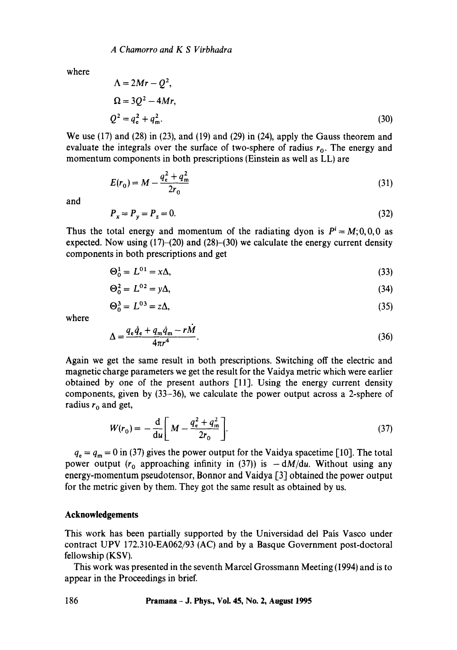*A Chamorro and K S Virbhadra* 

where

$$
\Lambda = 2Mr - Q^{2},
$$
  
\n
$$
\Omega = 3Q^{2} - 4Mr,
$$
  
\n
$$
Q^{2} = q_{e}^{2} + q_{m}^{2}.
$$
\n(30)

We use (17) and (28) in (23), and (19) and (29) in (24), apply the Gauss theorem and evaluate the integrals over the surface of two-sphere of radius  $r_0$ . The energy and momentum components in both prescriptions (Einstein as well as LL) are

$$
E(r_0) = M - \frac{q_e^2 + q_m^2}{2r_0} \tag{31}
$$

and

$$
P_x = P_y = P_z = 0.
$$
\n(32)

Thus the total energy and momentum of the radiating dyon is  $P^i = M$ ;0,0,0 as expected. Now using  $(17)$ – $(20)$  and  $(28)$ – $(30)$  we calculate the energy current density components in both prescriptions and get

$$
\Theta_0^1 = L^{01} = x\Delta,\tag{33}
$$

$$
\Theta_0^2 = L^{02} = y\Delta,\tag{34}
$$

$$
\Theta_0^3 = L^{03} = z\Delta,\tag{35}
$$

where

$$
\Delta = \frac{q_e \dot{q}_e + q_m \dot{q}_m - rM}{4\pi r^4}.
$$
\n(36)

Again we get the same result in both prescriptions. Switching off the electric and magnetic charge parameters we get the result for the Vaidya metric which were earlier obtained by one of the present authors [11]. Using the energy current density components, given by (33-36), we calculate the power output across a 2-sphere of radius  $r_0$  and get,

$$
W(r_0) = -\frac{d}{du} \left[ M - \frac{q_e^2 + q_m^2}{2r_0} \right].
$$
 (37)

 $q_e = q_m = 0$  in (37) gives the power output for the Vaidya spacetime [10]. The total power output ( $r_0$  approaching infinity in (37)) is  $-dM/du$ . Without using any energy-momentum pseudotensor, Bonnor and Vaidya [3] obtained the power output for the metric given by them. They got the same result as obtained by us.

#### **Acknowledgements**

This work has been partially supported by the Universidad del Pais Vasco under contract UPV 172.310-EA062/93 (AC) and by a Basque Government post-doctoral fellowship (KSV).

This work was presented in the seventh Marcel Grossmann Meeting (1994) and is to appear in the Proceedings in brief.